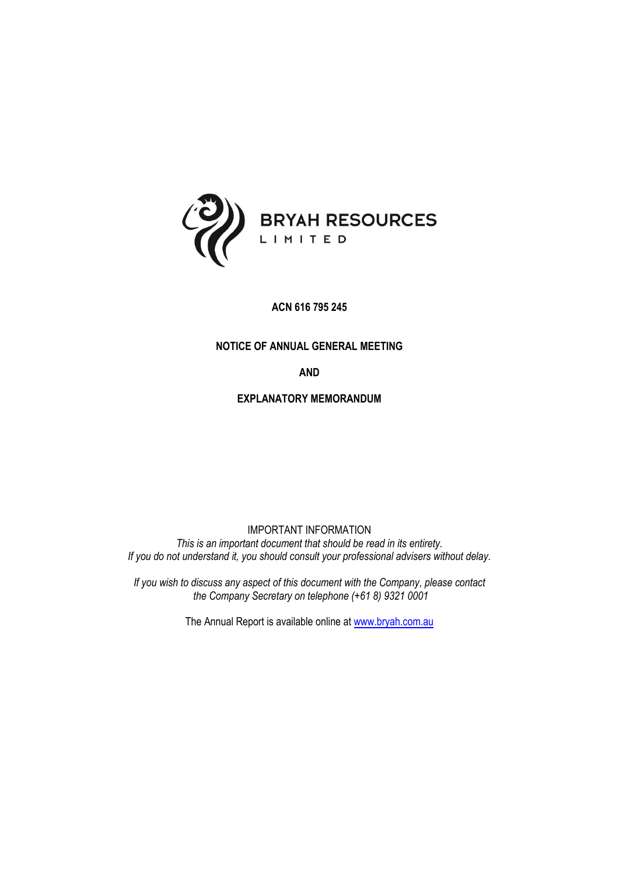

**ACN 616 795 245**

### **NOTICE OF ANNUAL GENERAL MEETING**

**AND**

**EXPLANATORY MEMORANDUM**

IMPORTANT INFORMATION *This is an important document that should be read in its entirety. If you do not understand it, you should consult your professional advisers without delay.*

*If you wish to discuss any aspect of this document with the Company, please contact the Company Secretary on telephone (+61 8) 9321 0001*

The Annual Report is available online at [www.bryah.com.au](http://www.bryah.com.au/)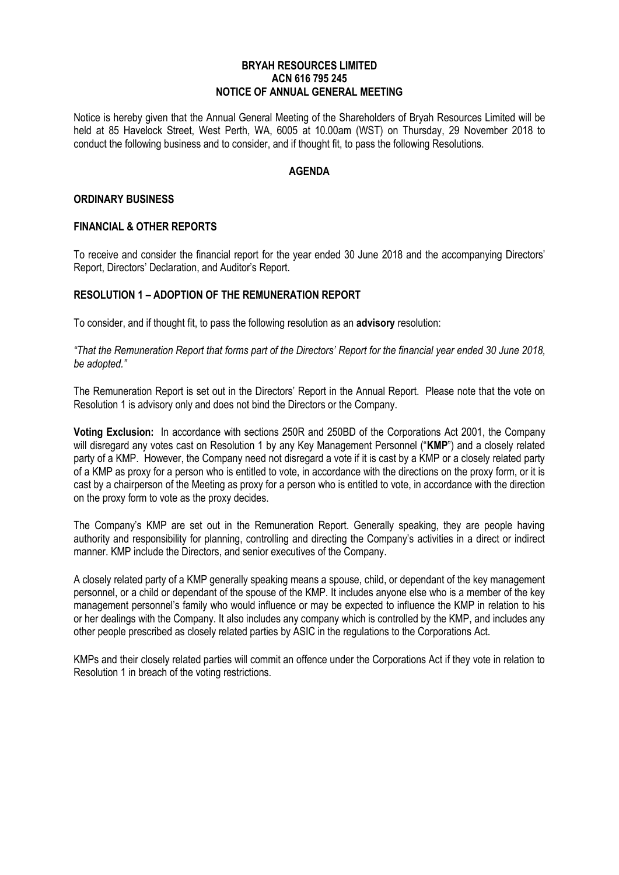#### **BRYAH RESOURCES LIMITED ACN 616 795 245 NOTICE OF ANNUAL GENERAL MEETING**

Notice is hereby given that the Annual General Meeting of the Shareholders of Bryah Resources Limited will be held at 85 Havelock Street, West Perth, WA, 6005 at 10.00am (WST) on Thursday, 29 November 2018 to conduct the following business and to consider, and if thought fit, to pass the following Resolutions.

### **AGENDA**

#### **ORDINARY BUSINESS**

#### **FINANCIAL & OTHER REPORTS**

To receive and consider the financial report for the year ended 30 June 2018 and the accompanying Directors' Report, Directors' Declaration, and Auditor's Report.

#### **RESOLUTION 1 – ADOPTION OF THE REMUNERATION REPORT**

To consider, and if thought fit, to pass the following resolution as an **advisory** resolution:

*"That the Remuneration Report that forms part of the Directors' Report for the financial year ended 30 June 2018, be adopted."*

The Remuneration Report is set out in the Directors' Report in the Annual Report. Please note that the vote on Resolution 1 is advisory only and does not bind the Directors or the Company.

**Voting Exclusion:** In accordance with sections 250R and 250BD of the Corporations Act 2001, the Company will disregard any votes cast on Resolution 1 by any Key Management Personnel ("**KMP**") and a closely related party of a KMP. However, the Company need not disregard a vote if it is cast by a KMP or a closely related party of a KMP as proxy for a person who is entitled to vote, in accordance with the directions on the proxy form, or it is cast by a chairperson of the Meeting as proxy for a person who is entitled to vote, in accordance with the direction on the proxy form to vote as the proxy decides.

The Company's KMP are set out in the Remuneration Report. Generally speaking, they are people having authority and responsibility for planning, controlling and directing the Company's activities in a direct or indirect manner. KMP include the Directors, and senior executives of the Company.

A closely related party of a KMP generally speaking means a spouse, child, or dependant of the key management personnel, or a child or dependant of the spouse of the KMP. It includes anyone else who is a member of the key management personnel's family who would influence or may be expected to influence the KMP in relation to his or her dealings with the Company. It also includes any company which is controlled by the KMP, and includes any other people prescribed as closely related parties by ASIC in the regulations to the Corporations Act.

KMPs and their closely related parties will commit an offence under the Corporations Act if they vote in relation to Resolution 1 in breach of the voting restrictions.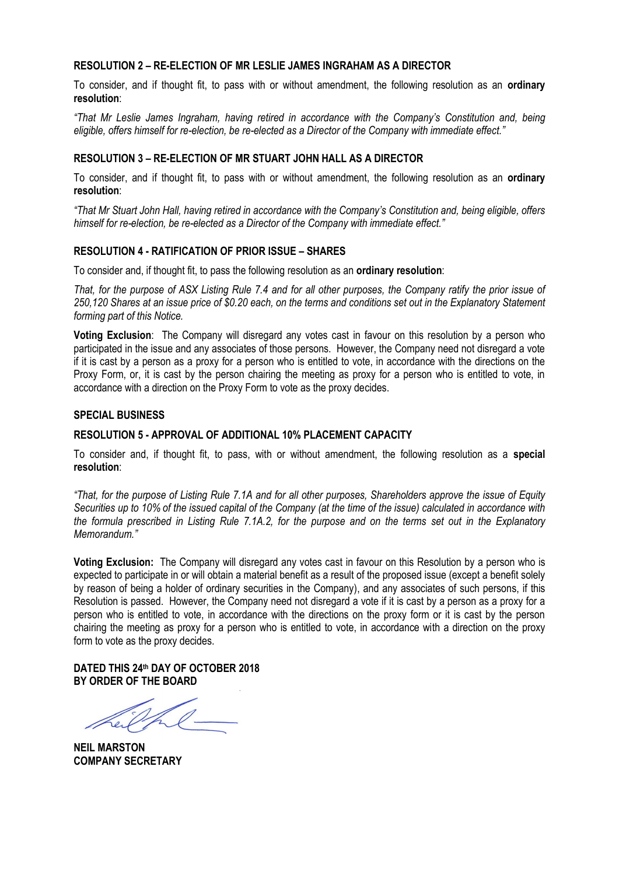#### **RESOLUTION 2 – RE-ELECTION OF MR LESLIE JAMES INGRAHAM AS A DIRECTOR**

To consider, and if thought fit, to pass with or without amendment, the following resolution as an **ordinary resolution**:

*"That Mr Leslie James Ingraham, having retired in accordance with the Company's Constitution and, being eligible, offers himself for re-election, be re-elected as a Director of the Company with immediate effect."*

#### **RESOLUTION 3 – RE-ELECTION OF MR STUART JOHN HALL AS A DIRECTOR**

To consider, and if thought fit, to pass with or without amendment, the following resolution as an **ordinary resolution**:

*"That Mr Stuart John Hall, having retired in accordance with the Company's Constitution and, being eligible, offers*  himself for re-election, be re-elected as a Director of the Company with immediate effect."

#### **RESOLUTION 4 - RATIFICATION OF PRIOR ISSUE – SHARES**

To consider and, if thought fit, to pass the following resolution as an **ordinary resolution**:

*That, for the purpose of ASX Listing Rule 7.4 and for all other purposes, the Company ratify the prior issue of 250,120 Shares at an issue price of \$0.20 each, on the terms and conditions set out in the Explanatory Statement forming part of this Notice.*

**Voting Exclusion**: The Company will disregard any votes cast in favour on this resolution by a person who participated in the issue and any associates of those persons. However, the Company need not disregard a vote if it is cast by a person as a proxy for a person who is entitled to vote, in accordance with the directions on the Proxy Form, or, it is cast by the person chairing the meeting as proxy for a person who is entitled to vote, in accordance with a direction on the Proxy Form to vote as the proxy decides.

#### **SPECIAL BUSINESS**

#### **RESOLUTION 5 - APPROVAL OF ADDITIONAL 10% PLACEMENT CAPACITY**

To consider and, if thought fit, to pass, with or without amendment, the following resolution as a **special resolution**:

*"That, for the purpose of Listing Rule 7.1A and for all other purposes, Shareholders approve the issue of Equity Securities up to 10% of the issued capital of the Company (at the time of the issue) calculated in accordance with the formula prescribed in Listing Rule 7.1A.2, for the purpose and on the terms set out in the Explanatory Memorandum."*

**Voting Exclusion:** The Company will disregard any votes cast in favour on this Resolution by a person who is expected to participate in or will obtain a material benefit as a result of the proposed issue (except a benefit solely by reason of being a holder of ordinary securities in the Company), and any associates of such persons, if this Resolution is passed. However, the Company need not disregard a vote if it is cast by a person as a proxy for a person who is entitled to vote, in accordance with the directions on the proxy form or it is cast by the person chairing the meeting as proxy for a person who is entitled to vote, in accordance with a direction on the proxy form to vote as the proxy decides.

**DATED THIS 24th DAY OF OCTOBER 2018 BY ORDER OF THE BOARD**

**NEIL MARSTON COMPANY SECRETARY**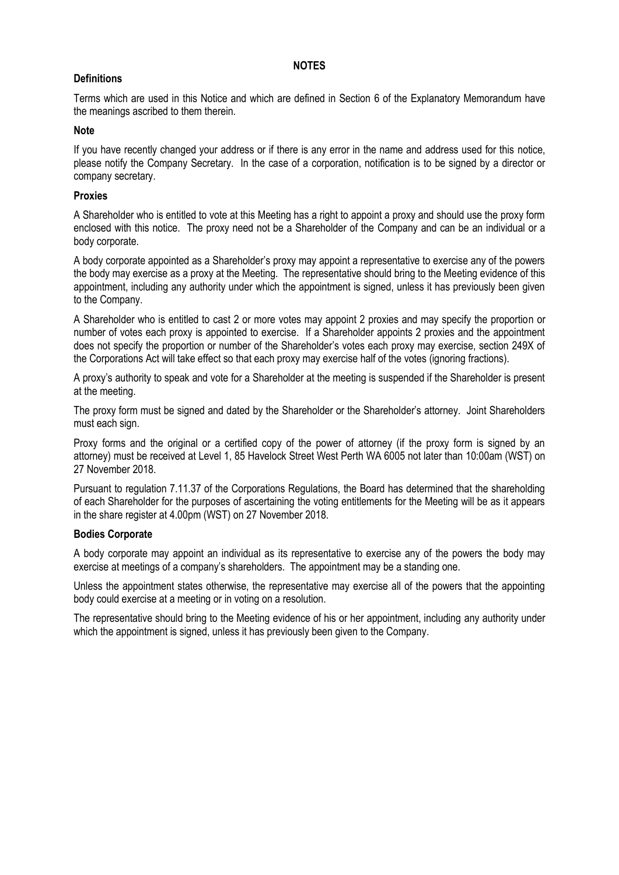#### **NOTES**

### **Definitions**

Terms which are used in this Notice and which are defined in Section 6 of the Explanatory Memorandum have the meanings ascribed to them therein.

#### **Note**

If you have recently changed your address or if there is any error in the name and address used for this notice, please notify the Company Secretary. In the case of a corporation, notification is to be signed by a director or company secretary.

#### **Proxies**

A Shareholder who is entitled to vote at this Meeting has a right to appoint a proxy and should use the proxy form enclosed with this notice. The proxy need not be a Shareholder of the Company and can be an individual or a body corporate.

A body corporate appointed as a Shareholder's proxy may appoint a representative to exercise any of the powers the body may exercise as a proxy at the Meeting. The representative should bring to the Meeting evidence of this appointment, including any authority under which the appointment is signed, unless it has previously been given to the Company.

A Shareholder who is entitled to cast 2 or more votes may appoint 2 proxies and may specify the proportion or number of votes each proxy is appointed to exercise. If a Shareholder appoints 2 proxies and the appointment does not specify the proportion or number of the Shareholder's votes each proxy may exercise, section 249X of the Corporations Act will take effect so that each proxy may exercise half of the votes (ignoring fractions).

A proxy's authority to speak and vote for a Shareholder at the meeting is suspended if the Shareholder is present at the meeting.

The proxy form must be signed and dated by the Shareholder or the Shareholder's attorney. Joint Shareholders must each sign.

Proxy forms and the original or a certified copy of the power of attorney (if the proxy form is signed by an attorney) must be received at Level 1, 85 Havelock Street West Perth WA 6005 not later than 10:00am (WST) on 27 November 2018.

Pursuant to regulation 7.11.37 of the Corporations Regulations, the Board has determined that the shareholding of each Shareholder for the purposes of ascertaining the voting entitlements for the Meeting will be as it appears in the share register at 4.00pm (WST) on 27 November 2018.

#### **Bodies Corporate**

A body corporate may appoint an individual as its representative to exercise any of the powers the body may exercise at meetings of a company's shareholders. The appointment may be a standing one.

Unless the appointment states otherwise, the representative may exercise all of the powers that the appointing body could exercise at a meeting or in voting on a resolution.

The representative should bring to the Meeting evidence of his or her appointment, including any authority under which the appointment is signed, unless it has previously been given to the Company.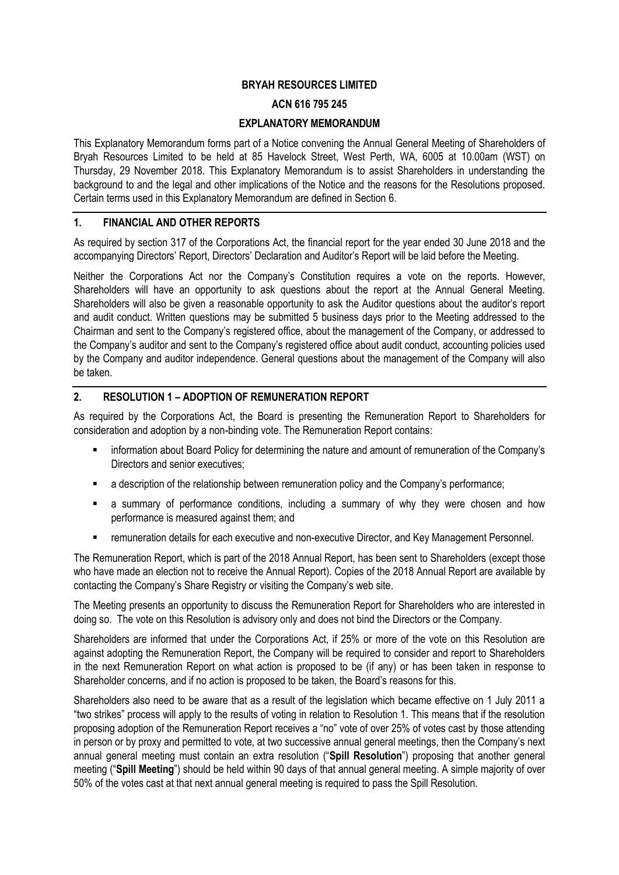### **BRYAH RESOURCES LIMITED**

#### **ACN 616 795 245**

#### **EXPLANATORY MEMORANDUM**

This Explanatory Memorandum forms part of a Notice convening the Annual General Meeting of Shareholders of Bryah Resources Limited to be held at 85 Havelock Street, West Perth, WA, 6005 at 10.00am (WST) on Thursday, 29 November 2018. This Explanatory Memorandum is to assist Shareholders in understanding the background to and the legal and other implications of the Notice and the reasons for the Resolutions proposed. Certain terms used in this Explanatory Memorandum are defined in Section 6.

#### **1. FINANCIAL AND OTHER REPORTS**

As required by section 317 of the Corporations Act, the financial report for the year ended 30 June 2018 and the accompanying Directors' Report, Directors' Declaration and Auditor's Report will be laid before the Meeting.

Neither the Corporations Act nor the Company's Constitution requires a vote on the reports. However, Shareholders will have an opportunity to ask questions about the report at the Annual General Meeting. Shareholders will also be given a reasonable opportunity to ask the Auditor questions about the auditor's report and audit conduct. Written questions may be submitted 5 business days prior to the Meeting addressed to the Chairman and sent to the Company's registered office, about the management of the Company, or addressed to the Company's auditor and sent to the Company's registered office about audit conduct, accounting policies used by the Company and auditor independence. General questions about the management of the Company will also be taken.

#### **2. RESOLUTION 1 – ADOPTION OF REMUNERATION REPORT**

As required by the Corporations Act, the Board is presenting the Remuneration Report to Shareholders for consideration and adoption by a non-binding vote. The Remuneration Report contains:

- information about Board Policy for determining the nature and amount of remuneration of the Company's Directors and senior executives;
- a description of the relationship between remuneration policy and the Company's performance;
- **E** a summary of performance conditions, including a summary of why they were chosen and how performance is measured against them; and
- remuneration details for each executive and non-executive Director, and Key Management Personnel.

The Remuneration Report, which is part of the 2018 Annual Report, has been sent to Shareholders (except those who have made an election not to receive the Annual Report). Copies of the 2018 Annual Report are available by contacting the Company's Share Registry or visiting the Company's web site.

The Meeting presents an opportunity to discuss the Remuneration Report for Shareholders who are interested in doing so. The vote on this Resolution is advisory only and does not bind the Directors or the Company.

Shareholders are informed that under the Corporations Act, if 25% or more of the vote on this Resolution are against adopting the Remuneration Report, the Company will be required to consider and report to Shareholders in the next Remuneration Report on what action is proposed to be (if any) or has been taken in response to Shareholder concerns, and if no action is proposed to be taken, the Board's reasons for this.

Shareholders also need to be aware that as a result of the legislation which became effective on 1 July 2011 a "two strikes" process will apply to the results of voting in relation to Resolution 1. This means that if the resolution proposing adoption of the Remuneration Report receives a "no" vote of over 25% of votes cast by those attending in person or by proxy and permitted to vote, at two successive annual general meetings, then the Company's next annual general meeting must contain an extra resolution ("**Spill Resolution**") proposing that another general meeting ("**Spill Meeting**") should be held within 90 days of that annual general meeting. A simple majority of over 50% of the votes cast at that next annual general meeting is required to pass the Spill Resolution.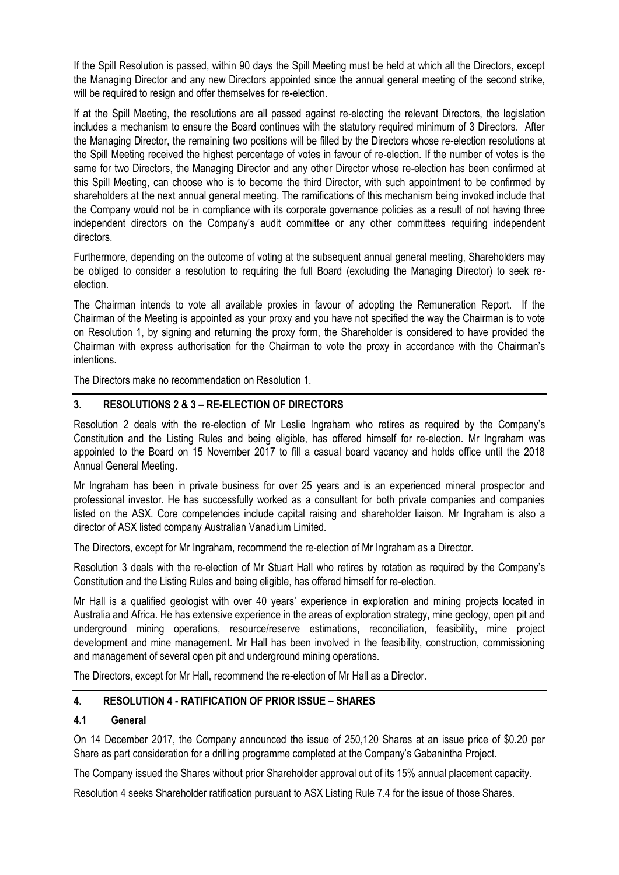If the Spill Resolution is passed, within 90 days the Spill Meeting must be held at which all the Directors, except the Managing Director and any new Directors appointed since the annual general meeting of the second strike, will be required to resign and offer themselves for re-election.

If at the Spill Meeting, the resolutions are all passed against re-electing the relevant Directors, the legislation includes a mechanism to ensure the Board continues with the statutory required minimum of 3 Directors. After the Managing Director, the remaining two positions will be filled by the Directors whose re-election resolutions at the Spill Meeting received the highest percentage of votes in favour of re-election. If the number of votes is the same for two Directors, the Managing Director and any other Director whose re-election has been confirmed at this Spill Meeting, can choose who is to become the third Director, with such appointment to be confirmed by shareholders at the next annual general meeting. The ramifications of this mechanism being invoked include that the Company would not be in compliance with its corporate governance policies as a result of not having three independent directors on the Company's audit committee or any other committees requiring independent directors.

Furthermore, depending on the outcome of voting at the subsequent annual general meeting, Shareholders may be obliged to consider a resolution to requiring the full Board (excluding the Managing Director) to seek reelection.

The Chairman intends to vote all available proxies in favour of adopting the Remuneration Report. If the Chairman of the Meeting is appointed as your proxy and you have not specified the way the Chairman is to vote on Resolution 1, by signing and returning the proxy form, the Shareholder is considered to have provided the Chairman with express authorisation for the Chairman to vote the proxy in accordance with the Chairman's intentions.

The Directors make no recommendation on Resolution 1.

# **3. RESOLUTIONS 2 & 3 – RE-ELECTION OF DIRECTORS**

Resolution 2 deals with the re-election of Mr Leslie Ingraham who retires as required by the Company's Constitution and the Listing Rules and being eligible, has offered himself for re-election. Mr Ingraham was appointed to the Board on 15 November 2017 to fill a casual board vacancy and holds office until the 2018 Annual General Meeting.

Mr Ingraham has been in private business for over 25 years and is an experienced mineral prospector and professional investor. He has successfully worked as a consultant for both private companies and companies listed on the ASX. Core competencies include capital raising and shareholder liaison. Mr Ingraham is also a director of ASX listed company Australian Vanadium Limited.

The Directors, except for Mr Ingraham, recommend the re-election of Mr Ingraham as a Director.

Resolution 3 deals with the re-election of Mr Stuart Hall who retires by rotation as required by the Company's Constitution and the Listing Rules and being eligible, has offered himself for re-election.

Mr Hall is a qualified geologist with over 40 years' experience in exploration and mining projects located in Australia and Africa. He has extensive experience in the areas of exploration strategy, mine geology, open pit and underground mining operations, resource/reserve estimations, reconciliation, feasibility, mine project development and mine management. Mr Hall has been involved in the feasibility, construction, commissioning and management of several open pit and underground mining operations.

The Directors, except for Mr Hall, recommend the re-election of Mr Hall as a Director.

# **4. RESOLUTION 4 - RATIFICATION OF PRIOR ISSUE – SHARES**

### **4.1 General**

On 14 December 2017, the Company announced the issue of 250,120 Shares at an issue price of \$0.20 per Share as part consideration for a drilling programme completed at the Company's Gabanintha Project.

The Company issued the Shares without prior Shareholder approval out of its 15% annual placement capacity.

Resolution 4 seeks Shareholder ratification pursuant to ASX Listing Rule 7.4 for the issue of those Shares.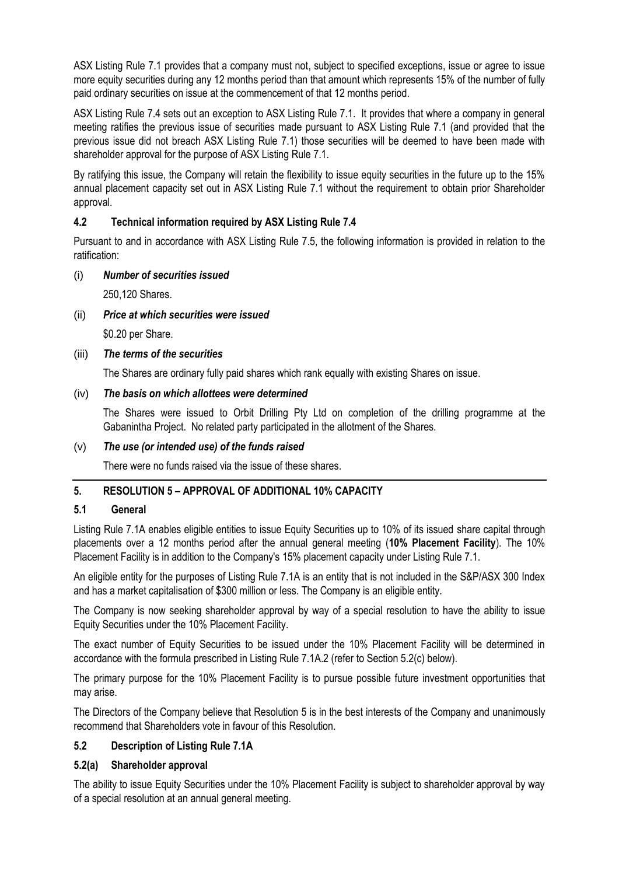ASX Listing Rule 7.1 provides that a company must not, subject to specified exceptions, issue or agree to issue more equity securities during any 12 months period than that amount which represents 15% of the number of fully paid ordinary securities on issue at the commencement of that 12 months period.

ASX Listing Rule 7.4 sets out an exception to ASX Listing Rule 7.1. It provides that where a company in general meeting ratifies the previous issue of securities made pursuant to ASX Listing Rule 7.1 (and provided that the previous issue did not breach ASX Listing Rule 7.1) those securities will be deemed to have been made with shareholder approval for the purpose of ASX Listing Rule 7.1.

By ratifying this issue, the Company will retain the flexibility to issue equity securities in the future up to the 15% annual placement capacity set out in ASX Listing Rule 7.1 without the requirement to obtain prior Shareholder approval.

# **4.2 Technical information required by ASX Listing Rule 7.4**

Pursuant to and in accordance with ASX Listing Rule 7.5, the following information is provided in relation to the ratification:

### (i) *Number of securities issued*

250,120 Shares.

# (ii) *Price at which securities were issued*

\$0.20 per Share.

### (iii) *The terms of the securities*

The Shares are ordinary fully paid shares which rank equally with existing Shares on issue.

### (iv) *The basis on which allottees were determined*

The Shares were issued to Orbit Drilling Pty Ltd on completion of the drilling programme at the Gabanintha Project. No related party participated in the allotment of the Shares.

### (v) *The use (or intended use) of the funds raised*

There were no funds raised via the issue of these shares.

# **5. RESOLUTION 5 – APPROVAL OF ADDITIONAL 10% CAPACITY**

### **5.1 General**

Listing Rule 7.1A enables eligible entities to issue Equity Securities up to 10% of its issued share capital through placements over a 12 months period after the annual general meeting (**10% Placement Facility**). The 10% Placement Facility is in addition to the Company's 15% placement capacity under Listing Rule 7.1.

An eligible entity for the purposes of Listing Rule 7.1A is an entity that is not included in the S&P/ASX 300 Index and has a market capitalisation of \$300 million or less. The Company is an eligible entity.

The Company is now seeking shareholder approval by way of a special resolution to have the ability to issue Equity Securities under the 10% Placement Facility.

The exact number of Equity Securities to be issued under the 10% Placement Facility will be determined in accordance with the formula prescribed in Listing Rule 7.1A.2 (refer to Section 5.2(c) below).

The primary purpose for the 10% Placement Facility is to pursue possible future investment opportunities that may arise.

The Directors of the Company believe that Resolution 5 is in the best interests of the Company and unanimously recommend that Shareholders vote in favour of this Resolution.

# **5.2 Description of Listing Rule 7.1A**

### **5.2(a) Shareholder approval**

The ability to issue Equity Securities under the 10% Placement Facility is subject to shareholder approval by way of a special resolution at an annual general meeting.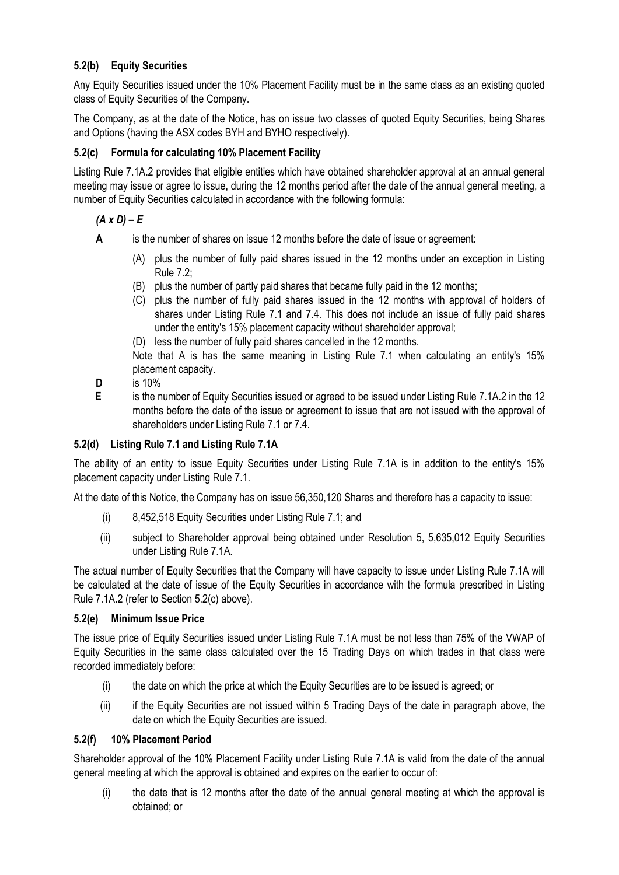# **5.2(b) Equity Securities**

Any Equity Securities issued under the 10% Placement Facility must be in the same class as an existing quoted class of Equity Securities of the Company.

The Company, as at the date of the Notice, has on issue two classes of quoted Equity Securities, being Shares and Options (having the ASX codes BYH and BYHO respectively).

# **5.2(c) Formula for calculating 10% Placement Facility**

Listing Rule 7.1A.2 provides that eligible entities which have obtained shareholder approval at an annual general meeting may issue or agree to issue, during the 12 months period after the date of the annual general meeting, a number of Equity Securities calculated in accordance with the following formula:

# $(A \times D) - E$

- **A** is the number of shares on issue 12 months before the date of issue or agreement:
	- (A) plus the number of fully paid shares issued in the 12 months under an exception in Listing Rule 7.2;
	- (B) plus the number of partly paid shares that became fully paid in the 12 months;
	- (C) plus the number of fully paid shares issued in the 12 months with approval of holders of shares under Listing Rule 7.1 and 7.4. This does not include an issue of fully paid shares under the entity's 15% placement capacity without shareholder approval;
	- (D) less the number of fully paid shares cancelled in the 12 months.

Note that A is has the same meaning in Listing Rule 7.1 when calculating an entity's 15% placement capacity.

- **D** is 10%
- **E** is the number of Equity Securities issued or agreed to be issued under Listing Rule 7.1A.2 in the 12 months before the date of the issue or agreement to issue that are not issued with the approval of shareholders under Listing Rule 7.1 or 7.4.

# **5.2(d) Listing Rule 7.1 and Listing Rule 7.1A**

The ability of an entity to issue Equity Securities under Listing Rule 7.1A is in addition to the entity's 15% placement capacity under Listing Rule 7.1.

At the date of this Notice, the Company has on issue 56,350,120 Shares and therefore has a capacity to issue:

- (i) 8,452,518 Equity Securities under Listing Rule 7.1; and
- (ii) subject to Shareholder approval being obtained under Resolution 5, 5,635,012 Equity Securities under Listing Rule 7.1A.

The actual number of Equity Securities that the Company will have capacity to issue under Listing Rule 7.1A will be calculated at the date of issue of the Equity Securities in accordance with the formula prescribed in Listing Rule 7.1A.2 (refer to Section 5.2(c) above).

### **5.2(e) Minimum Issue Price**

The issue price of Equity Securities issued under Listing Rule 7.1A must be not less than 75% of the VWAP of Equity Securities in the same class calculated over the 15 Trading Days on which trades in that class were recorded immediately before:

- (i) the date on which the price at which the Equity Securities are to be issued is agreed; or
- (ii) if the Equity Securities are not issued within 5 Trading Days of the date in paragraph above, the date on which the Equity Securities are issued.

### **5.2(f) 10% Placement Period**

Shareholder approval of the 10% Placement Facility under Listing Rule 7.1A is valid from the date of the annual general meeting at which the approval is obtained and expires on the earlier to occur of:

(i) the date that is 12 months after the date of the annual general meeting at which the approval is obtained; or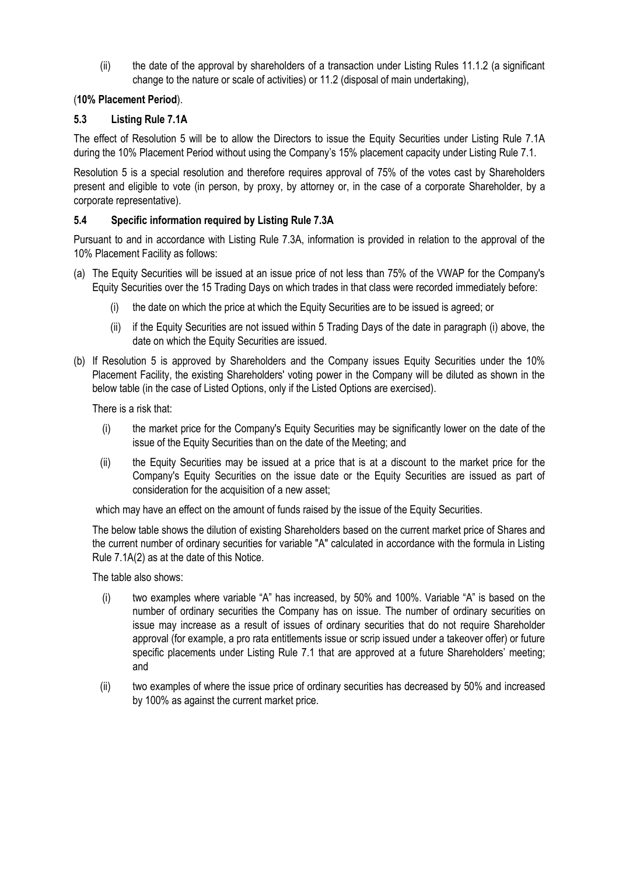(ii) the date of the approval by shareholders of a transaction under Listing Rules 11.1.2 (a significant change to the nature or scale of activities) or 11.2 (disposal of main undertaking),

# (**10% Placement Period**).

# **5.3 Listing Rule 7.1A**

The effect of Resolution 5 will be to allow the Directors to issue the Equity Securities under Listing Rule 7.1A during the 10% Placement Period without using the Company's 15% placement capacity under Listing Rule 7.1.

Resolution 5 is a special resolution and therefore requires approval of 75% of the votes cast by Shareholders present and eligible to vote (in person, by proxy, by attorney or, in the case of a corporate Shareholder, by a corporate representative).

# **5.4 Specific information required by Listing Rule 7.3A**

Pursuant to and in accordance with Listing Rule 7.3A, information is provided in relation to the approval of the 10% Placement Facility as follows:

- (a) The Equity Securities will be issued at an issue price of not less than 75% of the VWAP for the Company's Equity Securities over the 15 Trading Days on which trades in that class were recorded immediately before:
	- (i) the date on which the price at which the Equity Securities are to be issued is agreed; or
	- (ii) if the Equity Securities are not issued within 5 Trading Days of the date in paragraph (i) above, the date on which the Equity Securities are issued.
- (b) If Resolution 5 is approved by Shareholders and the Company issues Equity Securities under the 10% Placement Facility, the existing Shareholders' voting power in the Company will be diluted as shown in the below table (in the case of Listed Options, only if the Listed Options are exercised).

There is a risk that:

- (i) the market price for the Company's Equity Securities may be significantly lower on the date of the issue of the Equity Securities than on the date of the Meeting; and
- (ii) the Equity Securities may be issued at a price that is at a discount to the market price for the Company's Equity Securities on the issue date or the Equity Securities are issued as part of consideration for the acquisition of a new asset;

which may have an effect on the amount of funds raised by the issue of the Equity Securities.

The below table shows the dilution of existing Shareholders based on the current market price of Shares and the current number of ordinary securities for variable "A" calculated in accordance with the formula in Listing Rule 7.1A(2) as at the date of this Notice.

The table also shows:

- (i) two examples where variable "A" has increased, by 50% and 100%. Variable "A" is based on the number of ordinary securities the Company has on issue. The number of ordinary securities on issue may increase as a result of issues of ordinary securities that do not require Shareholder approval (for example, a pro rata entitlements issue or scrip issued under a takeover offer) or future specific placements under Listing Rule 7.1 that are approved at a future Shareholders' meeting; and
- (ii) two examples of where the issue price of ordinary securities has decreased by 50% and increased by 100% as against the current market price.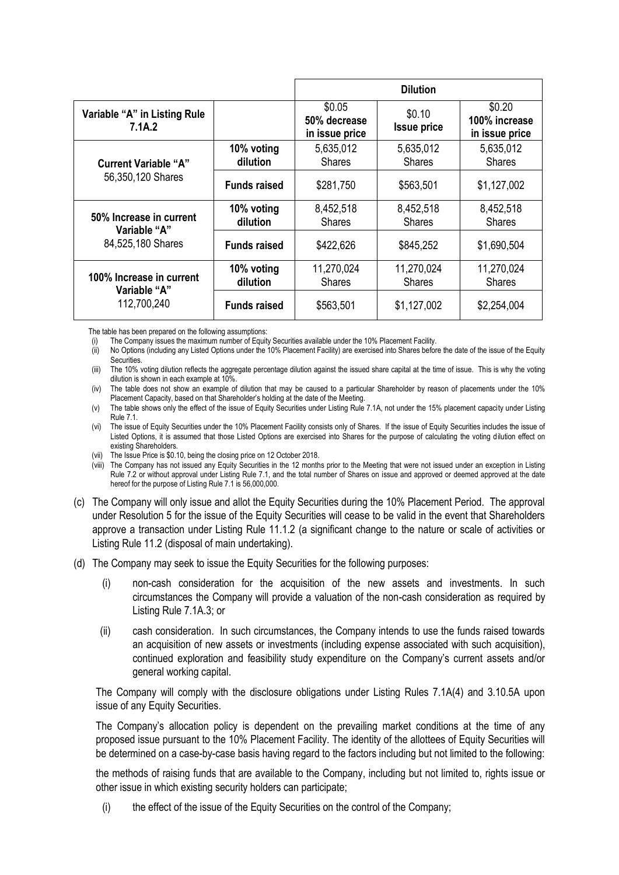|                                                         |                        |                                          | <b>Dilution</b>              |                                                           |
|---------------------------------------------------------|------------------------|------------------------------------------|------------------------------|-----------------------------------------------------------|
| Variable "A" in Listing Rule<br>7.1A.2                  |                        | \$0.05<br>50% decrease<br>in issue price | \$0.10<br><b>Issue price</b> | \$0.20<br>100% increase<br>in issue price                 |
| <b>Current Variable "A"</b>                             | 10% voting<br>dilution | 5,635,012<br><b>Shares</b>               | 5,635,012<br><b>Shares</b>   | 5,635,012<br><b>Shares</b>                                |
| 56,350,120 Shares                                       | <b>Funds raised</b>    | \$281,750                                | \$563,501                    | \$1,127,002                                               |
| 50% Increase in current                                 | 10% voting<br>dilution | 8,452,518<br><b>Shares</b>               | 8,452,518<br><b>Shares</b>   | 8,452,518<br><b>Shares</b>                                |
| "A" Variable<br>84,525,180 Shares                       | <b>Funds raised</b>    | \$422,626                                | \$845,252                    | \$1,690,504<br>11,270,024<br><b>Shares</b><br>\$2,254,004 |
| 100% Increase in current<br>"A" Variable<br>112,700,240 | 10% voting<br>dilution | 11,270,024<br><b>Shares</b>              | 11,270,024<br><b>Shares</b>  |                                                           |
|                                                         | <b>Funds raised</b>    | \$563,501                                | \$1,127,002                  |                                                           |

The table has been prepared on the following assumptions:

(i) The Company issues the maximum number of Equity Securities available under the 10% Placement Facility.

(ii) No Options (including any Listed Options under the 10% Placement Facility) are exercised into Shares before the date of the issue of the Equity Securities.

(iii) The 10% voting dilution reflects the aggregate percentage dilution against the issued share capital at the time of issue. This is why the voting dilution is shown in each example at 10%.

(iv) The table does not show an example of dilution that may be caused to a particular Shareholder by reason of placements under the 10% Placement Capacity, based on that Shareholder's holding at the date of the Meeting.

(v) The table shows only the effect of the issue of Equity Securities under Listing Rule 7.1A, not under the 15% placement capacity under Listing Rule 7.1.

(vi) The issue of Equity Securities under the 10% Placement Facility consists only of Shares. If the issue of Equity Securities includes the issue of Listed Options, it is assumed that those Listed Options are exercised into Shares for the purpose of calculating the voting dilution effect on existing Shareholders.

(vii) The Issue Price is \$0.10, being the closing price on 12 October 2018.

(viii) The Company has not issued any Equity Securities in the 12 months prior to the Meeting that were not issued under an exception in Listing Rule 7.2 or without approval under Listing Rule 7.1, and the total number of Shares on issue and approved or deemed approved at the date hereof for the purpose of Listing Rule 7.1 is 56,000,000.

- (c) The Company will only issue and allot the Equity Securities during the 10% Placement Period. The approval under Resolution 5 for the issue of the Equity Securities will cease to be valid in the event that Shareholders approve a transaction under Listing Rule 11.1.2 (a significant change to the nature or scale of activities or Listing Rule 11.2 (disposal of main undertaking).
- (d) The Company may seek to issue the Equity Securities for the following purposes:
	- (i) non-cash consideration for the acquisition of the new assets and investments. In such circumstances the Company will provide a valuation of the non-cash consideration as required by Listing Rule 7.1A.3; or
	- (ii) cash consideration. In such circumstances, the Company intends to use the funds raised towards an acquisition of new assets or investments (including expense associated with such acquisition), continued exploration and feasibility study expenditure on the Company's current assets and/or general working capital.

The Company will comply with the disclosure obligations under Listing Rules 7.1A(4) and 3.10.5A upon issue of any Equity Securities.

The Company's allocation policy is dependent on the prevailing market conditions at the time of any proposed issue pursuant to the 10% Placement Facility. The identity of the allottees of Equity Securities will be determined on a case-by-case basis having regard to the factors including but not limited to the following:

the methods of raising funds that are available to the Company, including but not limited to, rights issue or other issue in which existing security holders can participate;

(i) the effect of the issue of the Equity Securities on the control of the Company;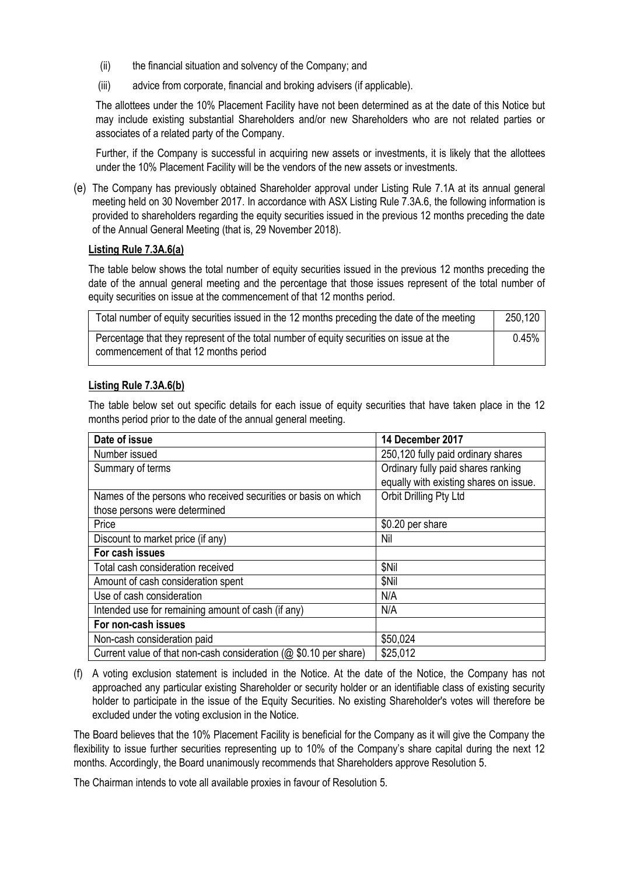- (ii) the financial situation and solvency of the Company; and
- (iii) advice from corporate, financial and broking advisers (if applicable).

The allottees under the 10% Placement Facility have not been determined as at the date of this Notice but may include existing substantial Shareholders and/or new Shareholders who are not related parties or associates of a related party of the Company.

Further, if the Company is successful in acquiring new assets or investments, it is likely that the allottees under the 10% Placement Facility will be the vendors of the new assets or investments.

(e) The Company has previously obtained Shareholder approval under Listing Rule 7.1A at its annual general meeting held on 30 November 2017. In accordance with ASX Listing Rule 7.3A.6, the following information is provided to shareholders regarding the equity securities issued in the previous 12 months preceding the date of the Annual General Meeting (that is, 29 November 2018).

#### **Listing Rule 7.3A.6(a)**

The table below shows the total number of equity securities issued in the previous 12 months preceding the date of the annual general meeting and the percentage that those issues represent of the total number of equity securities on issue at the commencement of that 12 months period.

| Total number of equity securities issued in the 12 months preceding the date of the meeting                                      | 250,120 |
|----------------------------------------------------------------------------------------------------------------------------------|---------|
| Percentage that they represent of the total number of equity securities on issue at the<br>commencement of that 12 months period | 0.45%   |

### **Listing Rule 7.3A.6(b)**

The table below set out specific details for each issue of equity securities that have taken place in the 12 months period prior to the date of the annual general meeting.

| Date of issue                                                        | 14 December 2017                       |
|----------------------------------------------------------------------|----------------------------------------|
| Number issued                                                        | 250,120 fully paid ordinary shares     |
| Summary of terms                                                     | Ordinary fully paid shares ranking     |
|                                                                      | equally with existing shares on issue. |
| Names of the persons who received securities or basis on which       | Orbit Drilling Pty Ltd                 |
| those persons were determined                                        |                                        |
| Price                                                                | \$0.20 per share                       |
| Discount to market price (if any)                                    | Nil                                    |
| For cash issues                                                      |                                        |
| Total cash consideration received                                    | \$Nil                                  |
| Amount of cash consideration spent                                   | \$Nil                                  |
| Use of cash consideration                                            | N/A                                    |
| Intended use for remaining amount of cash (if any)                   | N/A                                    |
| For non-cash issues                                                  |                                        |
| Non-cash consideration paid                                          | \$50,024                               |
| Current value of that non-cash consideration ( $@$ \$0.10 per share) | \$25,012                               |

(f) A voting exclusion statement is included in the Notice. At the date of the Notice, the Company has not approached any particular existing Shareholder or security holder or an identifiable class of existing security holder to participate in the issue of the Equity Securities. No existing Shareholder's votes will therefore be excluded under the voting exclusion in the Notice.

The Board believes that the 10% Placement Facility is beneficial for the Company as it will give the Company the flexibility to issue further securities representing up to 10% of the Company's share capital during the next 12 months. Accordingly, the Board unanimously recommends that Shareholders approve Resolution 5.

The Chairman intends to vote all available proxies in favour of Resolution 5.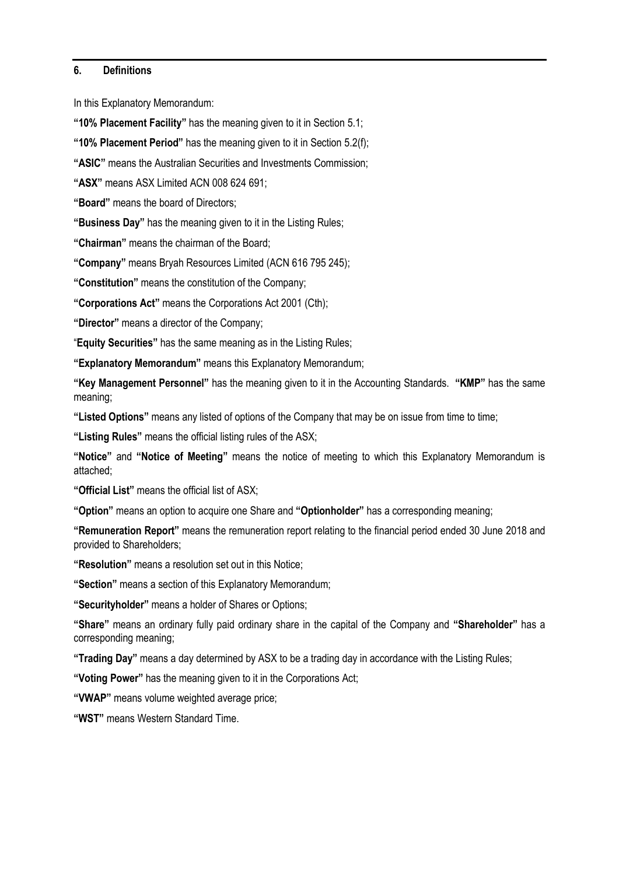#### **6. Definitions**

In this Explanatory Memorandum:

**"10% Placement Facility"** has the meaning given to it in Section 5.1;

**"10% Placement Period"** has the meaning given to it in Section 5.2(f);

**"ASIC"** means the Australian Securities and Investments Commission;

**"ASX"** means ASX Limited ACN 008 624 691;

**"Board"** means the board of Directors;

**"Business Day"** has the meaning given to it in the Listing Rules;

**"Chairman"** means the chairman of the Board;

**"Company"** means Bryah Resources Limited (ACN 616 795 245);

**"Constitution"** means the constitution of the Company;

**"Corporations Act"** means the Corporations Act 2001 (Cth);

**"Director"** means a director of the Company;

"**Equity Securities"** has the same meaning as in the Listing Rules;

**"Explanatory Memorandum"** means this Explanatory Memorandum;

**"Key Management Personnel"** has the meaning given to it in the Accounting Standards. **"KMP"** has the same meaning;

**"Listed Options"** means any listed of options of the Company that may be on issue from time to time;

**"Listing Rules"** means the official listing rules of the ASX;

**"Notice"** and **"Notice of Meeting"** means the notice of meeting to which this Explanatory Memorandum is attached;

**"Official List"** means the official list of ASX;

**"Option"** means an option to acquire one Share and **"Optionholder"** has a corresponding meaning;

**"Remuneration Report"** means the remuneration report relating to the financial period ended 30 June 2018 and provided to Shareholders;

**"Resolution"** means a resolution set out in this Notice;

**"Section"** means a section of this Explanatory Memorandum;

**"Securityholder"** means a holder of Shares or Options;

**"Share"** means an ordinary fully paid ordinary share in the capital of the Company and **"Shareholder"** has a corresponding meaning;

**"Trading Day"** means a day determined by ASX to be a trading day in accordance with the Listing Rules;

**"Voting Power"** has the meaning given to it in the Corporations Act;

**"VWAP"** means volume weighted average price;

**"WST"** means Western Standard Time.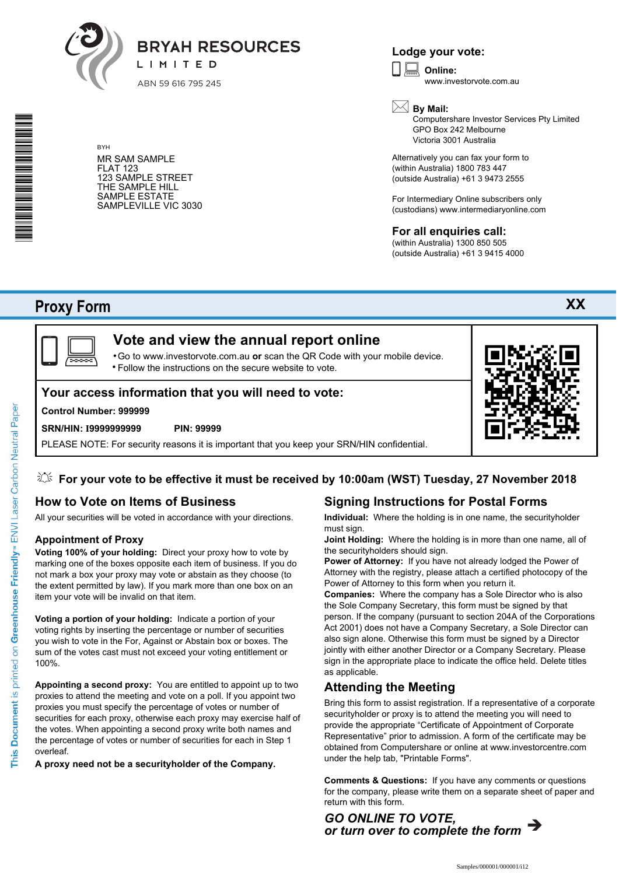

**Lodge your vote:**

**Online:** www.investorvote.com.au



Computershare Investor Services Pty Limited GPO Box 242 Melbourne Victoria 3001 Australia

**XX**

Alternatively you can fax your form to (within Australia) 1800 783 447 (outside Australia) +61 3 9473 2555

For Intermediary Online subscribers only (custodians) www.intermediaryonline.com

# **For all enquiries call:**

(within Australia) 1300 850 505 (outside Australia) +61 3 9415 4000

# **Proxy Form**



# **Vote and view the annual report online**

Go to www.investorvote.com.au **or** scan the QR Code with your mobile device. Follow the instructions on the secure website to vote. •

# **Your access information that you will need to vote:**

#### **Control Number: 999999**

BYH

FLAT 123

MR SAM SAMPLE

123 SAMPLE STREET THE SAMPLE HILL SAMPLE ESTATE SAMPLEVILLE VIC 3030

#### **SRN/HIN: I9999999999 PIN: 99999**

PLEASE NOTE: For security reasons it is important that you keep your SRN/HIN confidential.

# **For your vote to be effective it must be received by 10:00am (WST) Tuesday, 27 November 2018**

# **How to Vote on Items of Business**

All your securities will be voted in accordance with your directions.

#### **Appointment of Proxy**

**Voting 100% of your holding:** Direct your proxy how to vote by marking one of the boxes opposite each item of business. If you do not mark a box your proxy may vote or abstain as they choose (to the extent permitted by law). If you mark more than one box on an item your vote will be invalid on that item.

**Voting a portion of your holding:** Indicate a portion of your voting rights by inserting the percentage or number of securities you wish to vote in the For, Against or Abstain box or boxes. The sum of the votes cast must not exceed your voting entitlement or 100%.

**Appointing a second proxy:** You are entitled to appoint up to two proxies to attend the meeting and vote on a poll. If you appoint two proxies you must specify the percentage of votes or number of securities for each proxy, otherwise each proxy may exercise half of the votes. When appointing a second proxy write both names and the percentage of votes or number of securities for each in Step 1 overleaf.

**A proxy need not be a securityholder of the Company.**

# **Signing Instructions for Postal Forms**

**Individual:** Where the holding is in one name, the securityholder must sign.

**Joint Holding:** Where the holding is in more than one name, all of the securityholders should sign.

**Power of Attorney:** If you have not already lodged the Power of Attorney with the registry, please attach a certified photocopy of the Power of Attorney to this form when you return it.

**Companies:** Where the company has a Sole Director who is also the Sole Company Secretary, this form must be signed by that person. If the company (pursuant to section 204A of the Corporations Act 2001) does not have a Company Secretary, a Sole Director can also sign alone. Otherwise this form must be signed by a Director jointly with either another Director or a Company Secretary. Please sign in the appropriate place to indicate the office held. Delete titles as applicable.

### **Attending the Meeting**

Bring this form to assist registration. If a representative of a corporate securityholder or proxy is to attend the meeting you will need to provide the appropriate "Certificate of Appointment of Corporate Representative" prior to admission. A form of the certificate may be obtained from Computershare or online at www.investorcentre.com under the help tab, "Printable Forms".

**Comments & Questions:** If you have any comments or questions for the company, please write them on a separate sheet of paper and return with this form.

*GO ONLINE TO VOTE, or turn over to complete the form*

\* S0000112<br>S0000112<br>S0000112